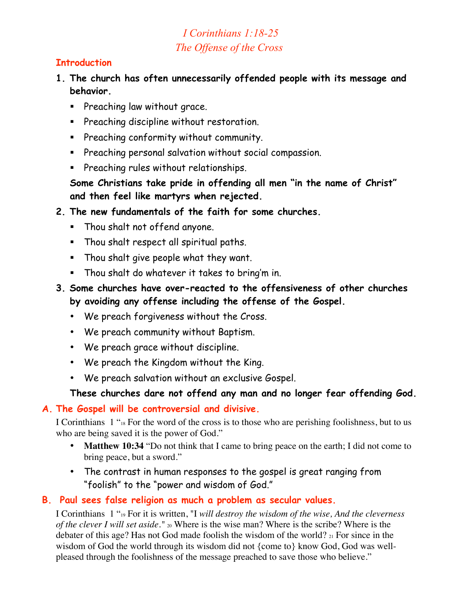# *I Corinthians 1:18-25 The Offense of the Cross*

## **Introduction**

- **1. The church has often unnecessarily offended people with its message and behavior.** 
	- **Preaching law without grace.**
	- **Preaching discipline without restoration.**
	- **Preaching conformity without community.**
	- **Preaching personal salvation without social compassion.**
	- **Preaching rules without relationships.**

**Some Christians take pride in offending all men "in the name of Christ" and then feel like martyrs when rejected.**

- **2. The new fundamentals of the faith for some churches.**
	- Thou shalt not offend anyone.
	- Thou shalt respect all spiritual paths.
	- Thou shalt give people what they want.
	- **Thou shalt do whatever it takes to bring'm in.**
- **3. Some churches have over-reacted to the offensiveness of other churches by avoiding any offense including the offense of the Gospel.**
	- We preach forgiveness without the Cross.
	- We preach community without Baptism.
	- We preach grace without discipline.
	- We preach the Kingdom without the King.
	- We preach salvation without an exclusive Gospel.

#### **These churches dare not offend any man and no longer fear offending God.**

#### **A. The Gospel will be controversial and divisive.**

I Corinthians 1 "18 For the word of the cross is to those who are perishing foolishness, but to us who are being saved it is the power of God."

- **Matthew 10:34** "Do not think that I came to bring peace on the earth; I did not come to bring peace, but a sword."
- The contrast in human responses to the gospel is great ranging from "foolish" to the "power and wisdom of God."

#### **B. Paul sees false religion as much a problem as secular values.**

I Corinthians 1 "19 For it is written, "I *will destroy the wisdom of the wise, And the cleverness of the clever I will set aside."* 20 Where is the wise man? Where is the scribe? Where is the debater of this age? Has not God made foolish the wisdom of the world? 21 For since in the wisdom of God the world through its wisdom did not {come to} know God, God was wellpleased through the foolishness of the message preached to save those who believe."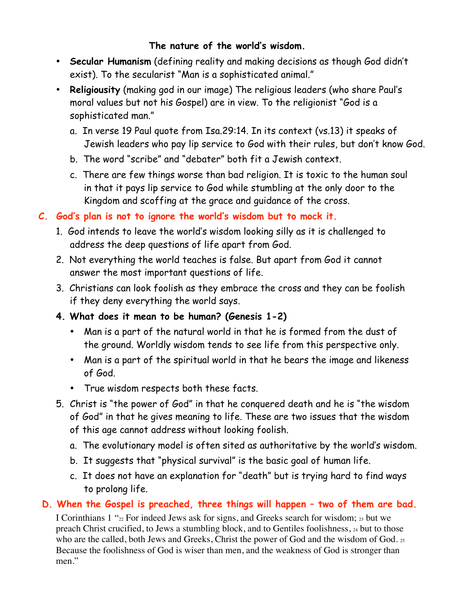## **The nature of the world's wisdom.**

- **Secular Humanism** (defining reality and making decisions as though God didn't exist). To the secularist "Man is a sophisticated animal."
- **Religiousity** (making god in our image) The religious leaders (who share Paul's moral values but not his Gospel) are in view. To the religionist "God is a sophisticated man."
	- a. In verse 19 Paul quote from Isa.29:14. In its context (vs.13) it speaks of Jewish leaders who pay lip service to God with their rules, but don't know God.
	- b. The word "scribe" and "debater" both fit a Jewish context.
	- c. There are few things worse than bad religion. It is toxic to the human soul in that it pays lip service to God while stumbling at the only door to the Kingdom and scoffing at the grace and guidance of the cross.
- **C. God's plan is not to ignore the world's wisdom but to mock it.**
	- 1. God intends to leave the world's wisdom looking silly as it is challenged to address the deep questions of life apart from God.
	- 2. Not everything the world teaches is false. But apart from God it cannot answer the most important questions of life.
	- 3. Christians can look foolish as they embrace the cross and they can be foolish if they deny everything the world says.
	- **4. What does it mean to be human? (Genesis 1-2)**
		- Man is a part of the natural world in that he is formed from the dust of the ground. Worldly wisdom tends to see life from this perspective only.
		- Man is a part of the spiritual world in that he bears the image and likeness of God.
		- True wisdom respects both these facts.
	- 5. Christ is "the power of God" in that he conquered death and he is "the wisdom of God" in that he gives meaning to life. These are two issues that the wisdom of this age cannot address without looking foolish.
		- a. The evolutionary model is often sited as authoritative by the world's wisdom.
		- b. It suggests that "physical survival" is the basic goal of human life.
		- c. It does not have an explanation for "death" but is trying hard to find ways to prolong life.

# **D. When the Gospel is preached, three things will happen – two of them are bad.**

I Corinthians 1 " $_{22}$  For indeed Jews ask for signs, and Greeks search for wisdom;  $_{23}$  but we preach Christ crucified, to Jews a stumbling block, and to Gentiles foolishness, 24 but to those who are the called, both Jews and Greeks, Christ the power of God and the wisdom of God. 25 Because the foolishness of God is wiser than men, and the weakness of God is stronger than men."